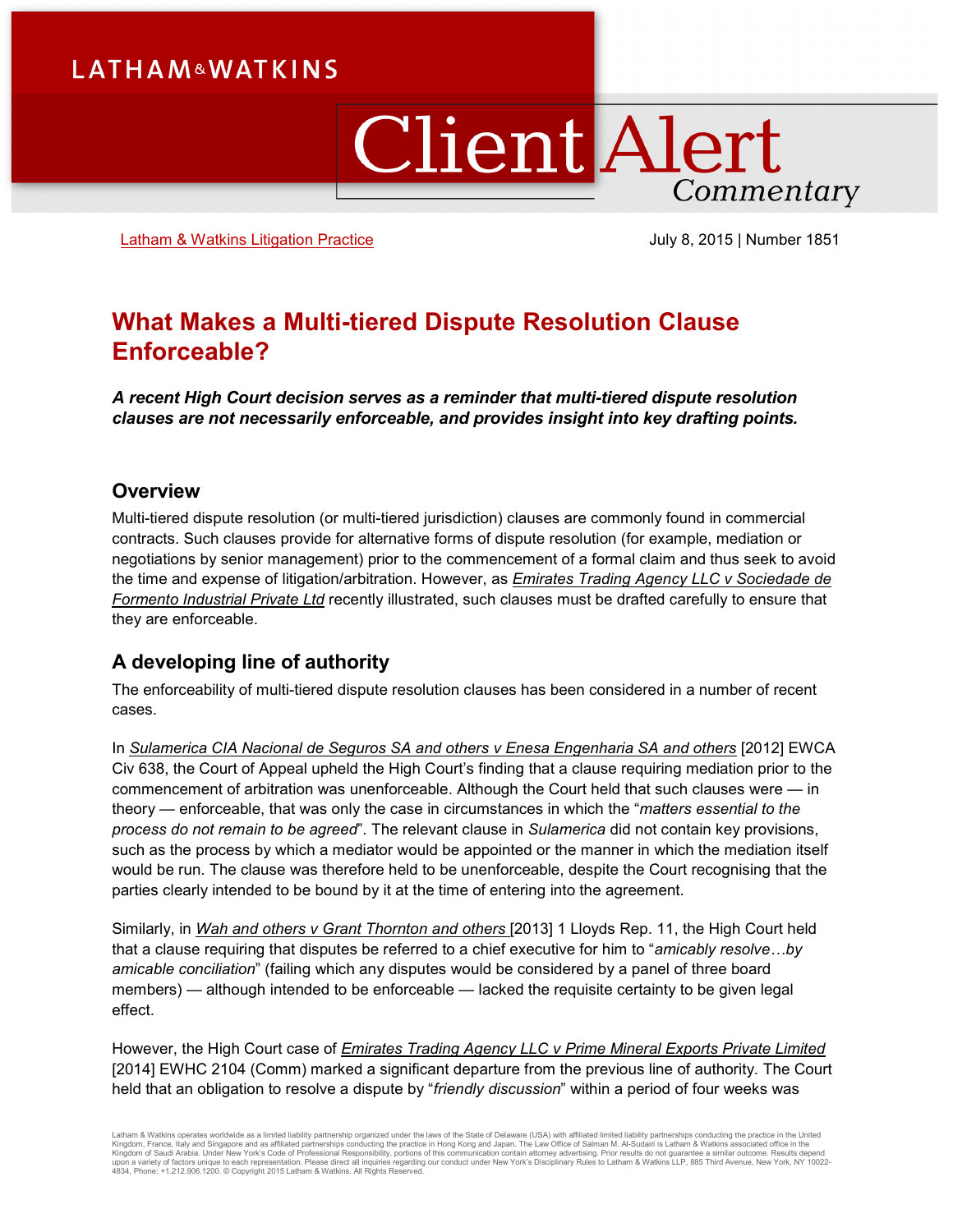## **LATHAM&WATKINS**

# **Client Alert** Commentary

[Latham & Watkins Litigation Practice](https://www.lw.com/practices/Litigation) **July 8, 2015 | Number 1851** 

### **What Makes a Multi-tiered Dispute Resolution Clause Enforceable?**

*A recent High Court decision serves as a reminder that multi-tiered dispute resolution clauses are not necessarily enforceable, and provides insight into key drafting points.*

#### **Overview**

Multi-tiered dispute resolution (or multi-tiered jurisdiction) clauses are commonly found in commercial contracts. Such clauses provide for alternative forms of dispute resolution (for example, mediation or negotiations by senior management) prior to the commencement of a formal claim and thus seek to avoid the time and expense of litigation/arbitration. However, as *Emirates Trading Agency LLC v Sociedade de Formento Industrial Private Ltd* recently illustrated, such clauses must be drafted carefully to ensure that they are enforceable.

#### **A developing line of authority**

The enforceability of multi-tiered dispute resolution clauses has been considered in a number of recent cases.

In *Sulamerica CIA Nacional de Seguros SA and others v Enesa Engenharia SA and others* [2012] EWCA Civ 638, the Court of Appeal upheld the High Court's finding that a clause requiring mediation prior to the commencement of arbitration was unenforceable. Although the Court held that such clauses were — in theory — enforceable, that was only the case in circumstances in which the "*matters essential to the process do not remain to be agreed*". The relevant clause in *Sulamerica* did not contain key provisions, such as the process by which a mediator would be appointed or the manner in which the mediation itself would be run. The clause was therefore held to be unenforceable, despite the Court recognising that the parties clearly intended to be bound by it at the time of entering into the agreement.

Similarly, in *Wah and others v Grant Thornton and others* [2013] 1 Lloyds Rep. 11, the High Court held that a clause requiring that disputes be referred to a chief executive for him to "*amicably resolve…by amicable conciliation*" (failing which any disputes would be considered by a panel of three board members) — although intended to be enforceable — lacked the requisite certainty to be given legal effect.

However, the High Court case of *Emirates Trading Agency LLC v Prime Mineral Exports Private Limited* [2014] EWHC 2104 (Comm) marked a significant departure from the previous line of authority. The Court held that an obligation to resolve a dispute by "*friendly discussion*" within a period of four weeks was

Latham & Watkins operates wordwide as a limited liability partnership organized under the laws of the State of Delaware (USA) with affiliated plimited liability partnerships conducting the practice in the United Limited Li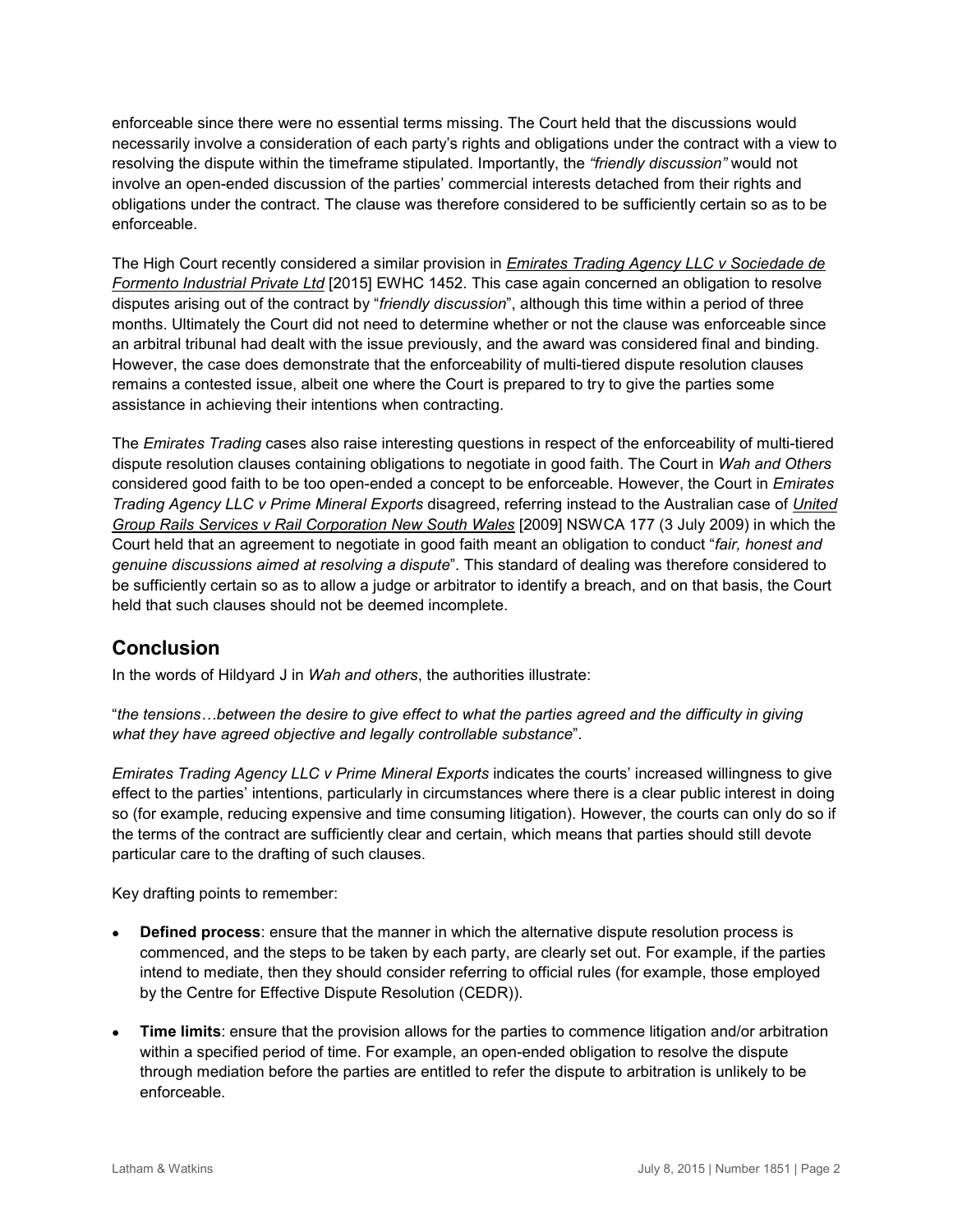enforceable since there were no essential terms missing. The Court held that the discussions would necessarily involve a consideration of each party's rights and obligations under the contract with a view to resolving the dispute within the timeframe stipulated. Importantly, the *"friendly discussion"* would not involve an open-ended discussion of the parties' commercial interests detached from their rights and obligations under the contract. The clause was therefore considered to be sufficiently certain so as to be enforceable.

The High Court recently considered a similar provision in *Emirates Trading Agency LLC v Sociedade de Formento Industrial Private Ltd* [2015] EWHC 1452. This case again concerned an obligation to resolve disputes arising out of the contract by "*friendly discussion*", although this time within a period of three months. Ultimately the Court did not need to determine whether or not the clause was enforceable since an arbitral tribunal had dealt with the issue previously, and the award was considered final and binding. However, the case does demonstrate that the enforceability of multi-tiered dispute resolution clauses remains a contested issue, albeit one where the Court is prepared to try to give the parties some assistance in achieving their intentions when contracting.

The *Emirates Trading* cases also raise interesting questions in respect of the enforceability of multi-tiered dispute resolution clauses containing obligations to negotiate in good faith. The Court in *Wah and Others* considered good faith to be too open-ended a concept to be enforceable. However, the Court in *Emirates Trading Agency LLC v Prime Mineral Exports* disagreed, referring instead to the Australian case of *United Group Rails Services v Rail Corporation New South Wales* [2009] NSWCA 177 (3 July 2009) in which the Court held that an agreement to negotiate in good faith meant an obligation to conduct "*fair, honest and genuine discussions aimed at resolving a dispute*". This standard of dealing was therefore considered to be sufficiently certain so as to allow a judge or arbitrator to identify a breach, and on that basis, the Court held that such clauses should not be deemed incomplete.

#### **Conclusion**

In the words of Hildyard J in *Wah and others*, the authorities illustrate:

"*the tensions…between the desire to give effect to what the parties agreed and the difficulty in giving what they have agreed objective and legally controllable substance*".

*Emirates Trading Agency LLC v Prime Mineral Exports* indicates the courts' increased willingness to give effect to the parties' intentions, particularly in circumstances where there is a clear public interest in doing so (for example, reducing expensive and time consuming litigation). However, the courts can only do so if the terms of the contract are sufficiently clear and certain, which means that parties should still devote particular care to the drafting of such clauses.

Key drafting points to remember:

- **Defined process**: ensure that the manner in which the alternative dispute resolution process is commenced, and the steps to be taken by each party, are clearly set out. For example, if the parties intend to mediate, then they should consider referring to official rules (for example, those employed by the Centre for Effective Dispute Resolution (CEDR)).
- **Time limits**: ensure that the provision allows for the parties to commence litigation and/or arbitration within a specified period of time. For example, an open-ended obligation to resolve the dispute through mediation before the parties are entitled to refer the dispute to arbitration is unlikely to be enforceable.